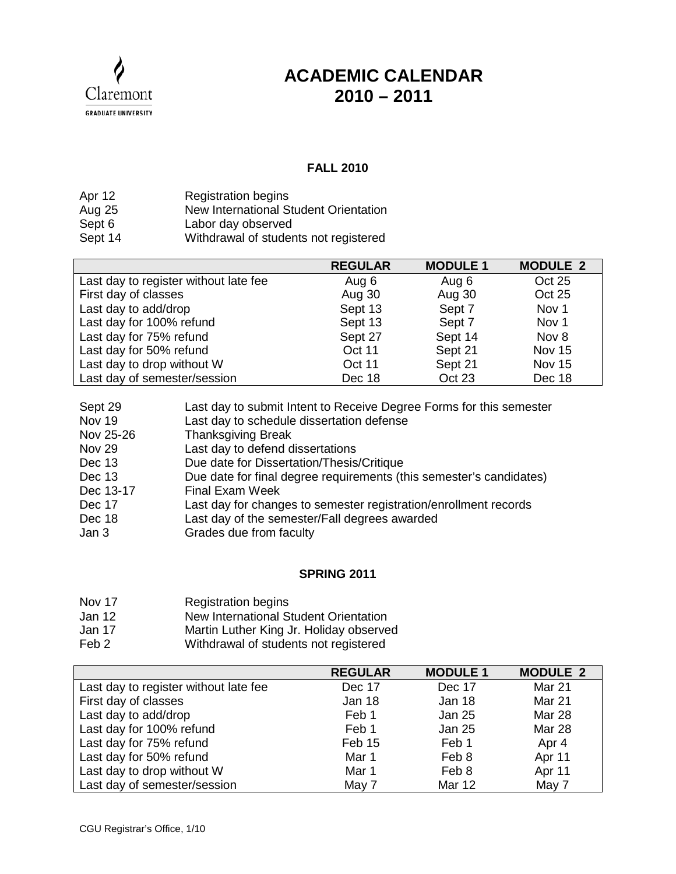

## **ACADEMIC CALENDAR 2010 – 2011**

## **FALL 2010**

| Apr 12  | <b>Registration begins</b>            |
|---------|---------------------------------------|
| Aug 25  | New International Student Orientation |
| Sept 6  | Labor day observed                    |
| Sept 14 | Withdrawal of students not registered |

|                                       | <b>REGULAR</b> | <b>MODULE 1</b> | <b>MODULE 2</b> |
|---------------------------------------|----------------|-----------------|-----------------|
| Last day to register without late fee | Aug 6          | Aug 6           | Oct 25          |
| First day of classes                  | Aug 30         | Aug 30          | Oct 25          |
| Last day to add/drop                  | Sept 13        | Sept 7          | Nov 1           |
| Last day for 100% refund              | Sept 13        | Sept 7          | Nov 1           |
| Last day for 75% refund               | Sept 27        | Sept 14         | Nov 8           |
| Last day for 50% refund               | Oct 11         | Sept 21         | <b>Nov 15</b>   |
| Last day to drop without W            | <b>Oct 11</b>  | Sept 21         | <b>Nov 15</b>   |
| Last day of semester/session          | Dec 18         | Oct 23          | Dec 18          |

| Last day to submit Intent to Receive Degree Forms for this semester |
|---------------------------------------------------------------------|
| Last day to schedule dissertation defense                           |
| <b>Thanksgiving Break</b>                                           |
| Last day to defend dissertations                                    |
| Due date for Dissertation/Thesis/Critique                           |
| Due date for final degree requirements (this semester's candidates) |
| <b>Final Exam Week</b>                                              |
| Last day for changes to semester registration/enrollment records    |
| Last day of the semester/Fall degrees awarded                       |
| Grades due from faculty                                             |
|                                                                     |

## **SPRING 2011**

- Nov 17 Registration begins
- Jan 12 New International Student Orientation
- Jan 17 Martin Luther King Jr. Holiday observed
- Feb 2 Withdrawal of students not registered

|                                       | <b>REGULAR</b> | <b>MODULE 1</b> | <b>MODULE 2</b> |
|---------------------------------------|----------------|-----------------|-----------------|
| Last day to register without late fee | Dec 17         | Dec 17          | Mar 21          |
| First day of classes                  | Jan 18         | Jan 18          | Mar 21          |
| Last day to add/drop                  | Feb 1          | <b>Jan 25</b>   | <b>Mar 28</b>   |
| Last day for 100% refund              | Feb 1          | <b>Jan 25</b>   | <b>Mar 28</b>   |
| Last day for 75% refund               | Feb 15         | Feb 1           | Apr 4           |
| Last day for 50% refund               | Mar 1          | Feb 8           | Apr 11          |
| Last day to drop without W            | Mar 1          | Feb 8           | Apr 11          |
| Last day of semester/session          | May 7          | <b>Mar 12</b>   | May 7           |